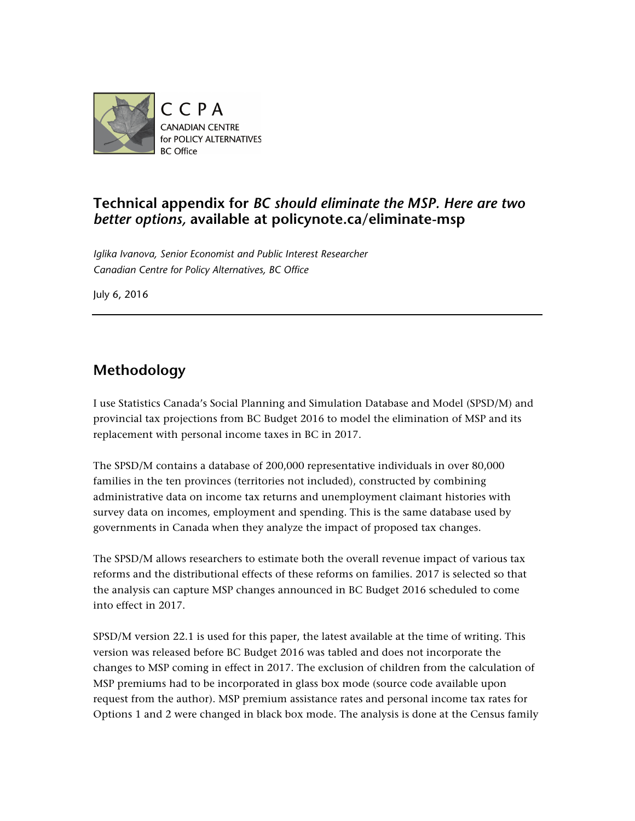

## **Technical appendix for** *BC should eliminate the MSP. Here are two better options,* **available at policynote.ca/eliminate-msp**

*Iglika Ivanova, Senior Economist and Public Interest Researcher Canadian Centre for Policy Alternatives, BC Office*

July 6, 2016

## **Methodology**

I use Statistics Canada's Social Planning and Simulation Database and Model (SPSD/M) and provincial tax projections from BC Budget 2016 to model the elimination of MSP and its replacement with personal income taxes in BC in 2017.

The SPSD/M contains a database of 200,000 representative individuals in over 80,000 families in the ten provinces (territories not included), constructed by combining administrative data on income tax returns and unemployment claimant histories with survey data on incomes, employment and spending. This is the same database used by governments in Canada when they analyze the impact of proposed tax changes.

The SPSD/M allows researchers to estimate both the overall revenue impact of various tax reforms and the distributional effects of these reforms on families. 2017 is selected so that the analysis can capture MSP changes announced in BC Budget 2016 scheduled to come into effect in 2017.

SPSD/M version 22.1 is used for this paper, the latest available at the time of writing. This version was released before BC Budget 2016 was tabled and does not incorporate the changes to MSP coming in effect in 2017. The exclusion of children from the calculation of MSP premiums had to be incorporated in glass box mode (source code available upon request from the author). MSP premium assistance rates and personal income tax rates for Options 1 and 2 were changed in black box mode. The analysis is done at the Census family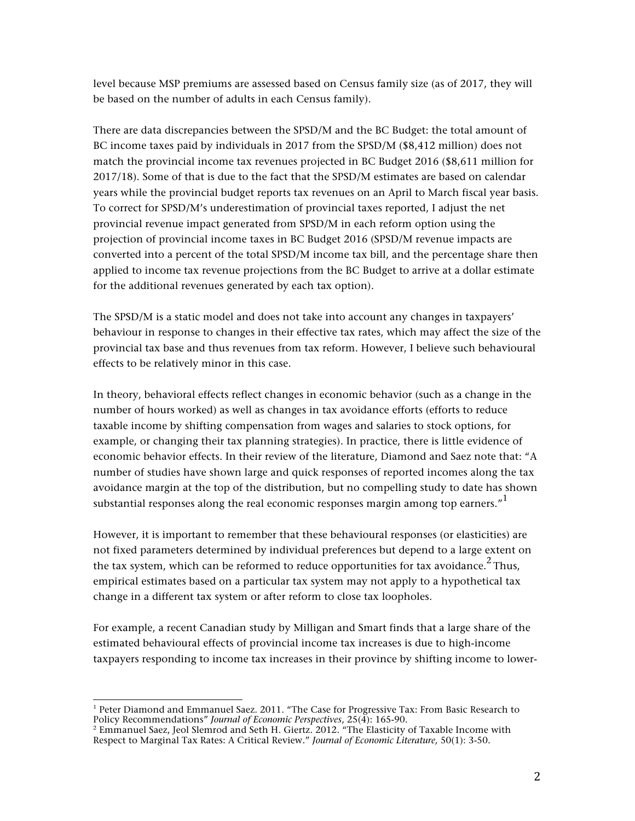level because MSP premiums are assessed based on Census family size (as of 2017, they will be based on the number of adults in each Census family).

There are data discrepancies between the SPSD/M and the BC Budget: the total amount of BC income taxes paid by individuals in 2017 from the SPSD/M (\$8,412 million) does not match the provincial income tax revenues projected in BC Budget 2016 (\$8,611 million for 2017/18). Some of that is due to the fact that the SPSD/M estimates are based on calendar years while the provincial budget reports tax revenues on an April to March fiscal year basis. To correct for SPSD/M's underestimation of provincial taxes reported, I adjust the net provincial revenue impact generated from SPSD/M in each reform option using the projection of provincial income taxes in BC Budget 2016 (SPSD/M revenue impacts are converted into a percent of the total SPSD/M income tax bill, and the percentage share then applied to income tax revenue projections from the BC Budget to arrive at a dollar estimate for the additional revenues generated by each tax option).

The SPSD/M is a static model and does not take into account any changes in taxpayers' behaviour in response to changes in their effective tax rates, which may affect the size of the provincial tax base and thus revenues from tax reform. However, I believe such behavioural effects to be relatively minor in this case.

In theory, behavioral effects reflect changes in economic behavior (such as a change in the number of hours worked) as well as changes in tax avoidance efforts (efforts to reduce taxable income by shifting compensation from wages and salaries to stock options, for example, or changing their tax planning strategies). In practice, there is little evidence of economic behavior effects. In their review of the literature, Diamond and Saez note that: "A number of studies have shown large and quick responses of reported incomes along the tax avoidance margin at the top of the distribution, but no compelling study to date has shown substantial responses along the real economic responses margin among top earners."<sup>1</sup>

However, it is important to remember that these behavioural responses (or elasticities) are not fixed parameters determined by individual preferences but depend to a large extent on the tax system, which can be reformed to reduce opportunities for tax avoidance.<sup>2</sup> Thus, empirical estimates based on a particular tax system may not apply to a hypothetical tax change in a different tax system or after reform to close tax loopholes.

For example, a recent Canadian study by Milligan and Smart finds that a large share of the estimated behavioural effects of provincial income tax increases is due to high-income taxpayers responding to income tax increases in their province by shifting income to lower-

 

 $1$  Peter Diamond and Emmanuel Saez. 2011. "The Case for Progressive Tax: From Basic Research to Policy Recommendations" *Journal of Economic Perspectives*, 25(4): 165-90.

 $^2$  Emmanuel Saez, Jeol Slemrod and Seth H. Giertz. 2012. "The Elasticity of Taxable Income with Respect to Marginal Tax Rates: A Critical Review." *Journal of Economic Literature,* 50(1): 3-50.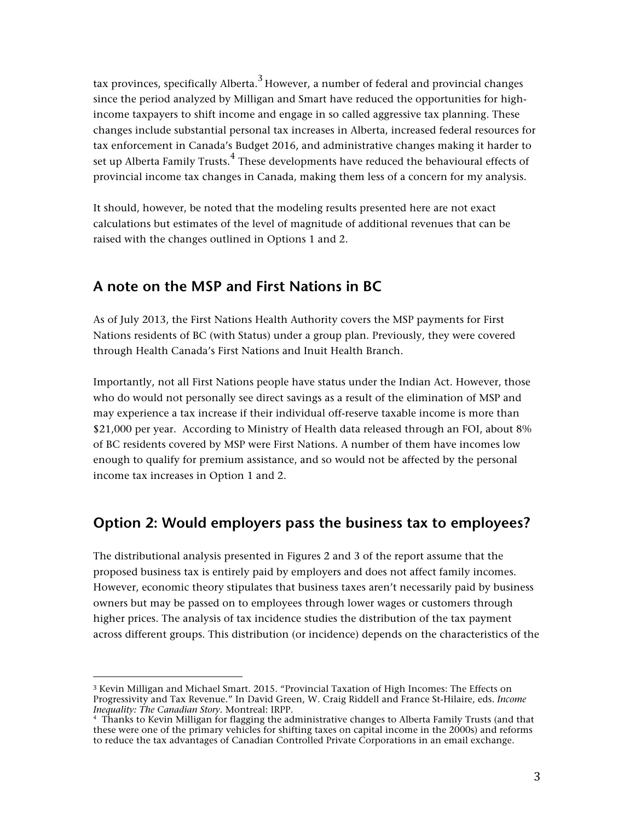tax provinces, specifically Alberta.<sup>3</sup> However, a number of federal and provincial changes since the period analyzed by Milligan and Smart have reduced the opportunities for highincome taxpayers to shift income and engage in so called aggressive tax planning. These changes include substantial personal tax increases in Alberta, increased federal resources for tax enforcement in Canada's Budget 2016, and administrative changes making it harder to set up Alberta Family Trusts.<sup>4</sup> These developments have reduced the behavioural effects of provincial income tax changes in Canada, making them less of a concern for my analysis.

It should, however, be noted that the modeling results presented here are not exact calculations but estimates of the level of magnitude of additional revenues that can be raised with the changes outlined in Options 1 and 2.

## **A note on the MSP and First Nations in BC**

 

As of July 2013, the First Nations Health Authority covers the MSP payments for First Nations residents of BC (with Status) under a group plan. Previously, they were covered through Health Canada's First Nations and Inuit Health Branch.

Importantly, not all First Nations people have status under the Indian Act. However, those who do would not personally see direct savings as a result of the elimination of MSP and may experience a tax increase if their individual off-reserve taxable income is more than \$21,000 per year. According to Ministry of Health data released through an FOI, about 8% of BC residents covered by MSP were First Nations. A number of them have incomes low enough to qualify for premium assistance, and so would not be affected by the personal income tax increases in Option 1 and 2.

## **Option 2: Would employers pass the business tax to employees?**

The distributional analysis presented in Figures 2 and 3 of the report assume that the proposed business tax is entirely paid by employers and does not affect family incomes. However, economic theory stipulates that business taxes aren't necessarily paid by business owners but may be passed on to employees through lower wages or customers through higher prices. The analysis of tax incidence studies the distribution of the tax payment across different groups. This distribution (or incidence) depends on the characteristics of the

<sup>3</sup> Kevin Milligan and Michael Smart. 2015. "Provincial Taxation of High Incomes: The Effects on Progressivity and Tax Revenue." In David Green, W. Craig Riddell and France St-Hilaire, eds. *Income Inequality: The Canadian Story.* Montreal: IRPP.

<sup>4</sup> Thanks to Kevin Milligan for flagging the administrative changes to Alberta Family Trusts (and that these were one of the primary vehicles for shifting taxes on capital income in the 2000s) and reforms to reduce the tax advantages of Canadian Controlled Private Corporations in an email exchange.